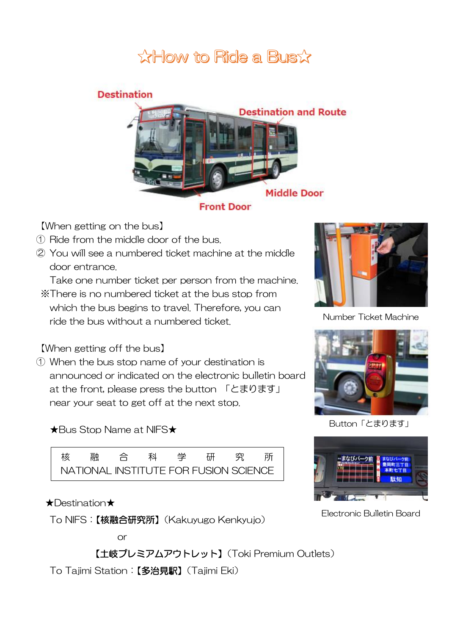# **XHow to Ride a Busx**

### **Destination**



#### **Front Door**

【When getting on the bus】

- ① Ride from the middle door of the bus.
- ② You will see a numbered ticket machine at the middle door entrance.

Take one number ticket per person from the machine.

※There is no numbered ticket at the bus stop from which the bus begins to travel. Therefore, you can ride the bus without a numbered ticket.

【When getting off the bus】

① When the bus stop name of your destination is announced or indicated on the electronic bulletin board at the front, please press the button 「とまります」 near your seat to get off at the next stop.

★Bus Stop Name at NIFS★



#### ★Destination★

To NIFS:【核融合研究所】(Kakuyugo Kenkyujo)



Number Ticket Machine



Button「とまります」



Electronic Bulletin Board

or

【土岐プレミアムアウトレット】(Toki Premium Outlets)

To Tajimi Station:【多治見駅】(Tajimi Eki)